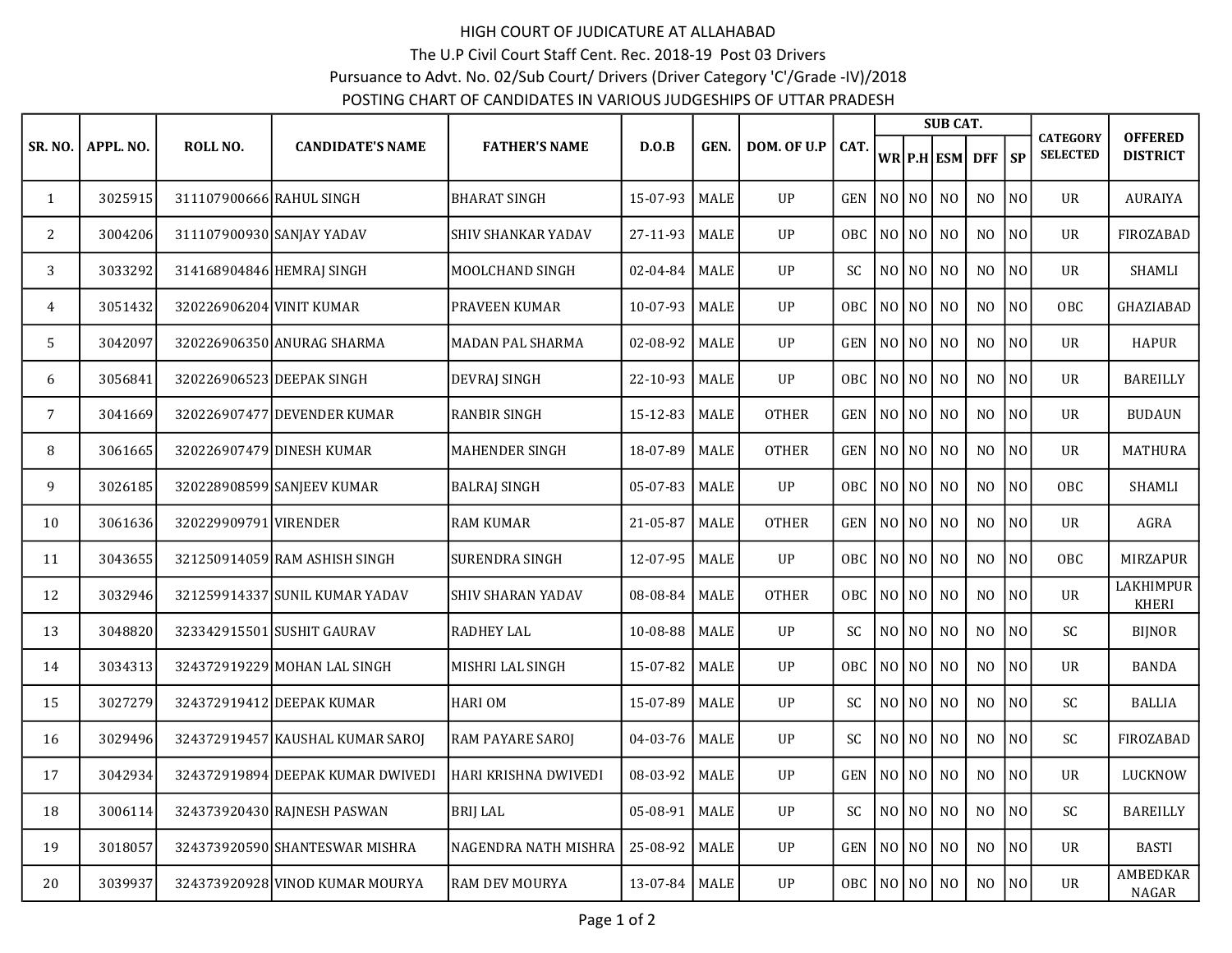## HIGH COURT OF JUDICATURE AT ALLAHABAD The U.P Civil Court Staff Cent. Rec. 2018-19 Post 03 Drivers Pursuance to Advt. No. 02/Sub Court/ Drivers (Driver Category 'C'/Grade -IV)/2018 POSTING CHART OF CANDIDATES IN VARIOUS JUDGESHIPS OF UTTAR PRADESH

| <b>SR. NO.</b> | APPL. NO. | ROLL NO.                  | <b>CANDIDATE'S NAME</b>           | <b>FATHER'S NAME</b>        | D.O.B    | GEN.        | DOM. OF U.P                                                                                  | CAT.       | <b>SUB CAT.</b> |                |                |                |                |                                    |                                   |
|----------------|-----------|---------------------------|-----------------------------------|-----------------------------|----------|-------------|----------------------------------------------------------------------------------------------|------------|-----------------|----------------|----------------|----------------|----------------|------------------------------------|-----------------------------------|
|                |           |                           |                                   |                             |          |             |                                                                                              |            |                 |                | $WR$ P.H ESM   | <b>DFF</b>     | <b>SP</b>      | <b>CATEGORY</b><br><b>SELECTED</b> | <b>OFFERED</b><br><b>DISTRICT</b> |
| 1              | 3025915   | 311107900666 RAHUL SINGH  |                                   | <b>BHARAT SINGH</b>         | 15-07-93 | MALE        | UP                                                                                           | GEN        | NO NO           |                | N <sub>0</sub> | N <sub>0</sub> | N <sub>O</sub> | <b>UR</b>                          | <b>AURAIYA</b>                    |
| 2              | 3004206   | 311107900930 SANJAY YADAV |                                   | <b>SHIV SHANKAR YADAV</b>   | 27-11-93 | MALE        | <b>UP</b>                                                                                    | OBC        |                 | NO NO          | N <sub>O</sub> | N <sub>0</sub> | NO             | <b>UR</b>                          | FIROZABAD                         |
| 3              | 3033292   |                           | 314168904846 HEMRAJ SINGH         | <b>MOOLCHAND SINGH</b>      | 02-04-84 | <b>MALE</b> | UP                                                                                           | SC         |                 | NO NO          | N <sub>O</sub> | N <sub>0</sub> | N <sub>O</sub> | <b>UR</b>                          | <b>SHAMLI</b>                     |
| 4              | 3051432   | 320226906204 VINIT KUMAR  |                                   | PRAVEEN KUMAR               | 10-07-93 | MALE        | <b>UP</b>                                                                                    | OBC        | N <sub>O</sub>  | NO             | N <sub>0</sub> | N <sub>0</sub> | N <sub>O</sub> | OBC                                | GHAZIABAD                         |
| 5              | 3042097   |                           | 320226906350 ANURAG SHARMA        | MADAN PAL SHARMA            | 02-08-92 | MALE        | <b>UP</b>                                                                                    | GEN        | NO              | NO             | N <sub>0</sub> | N <sub>0</sub> | N <sub>O</sub> | <b>UR</b>                          | <b>HAPUR</b>                      |
| 6              | 3056841   |                           | 320226906523 DEEPAK SINGH         | <b>DEVRAJ SINGH</b>         | 22-10-93 | MALE        | <b>UP</b>                                                                                    | OBC        |                 | NO NO          | N <sub>O</sub> | N <sub>0</sub> | N <sub>O</sub> | <b>UR</b>                          | <b>BAREILLY</b>                   |
| 7              | 3041669   |                           | 320226907477 DEVENDER KUMAR       | <b>RANBIR SINGH</b>         | 15-12-83 | <b>MALE</b> | <b>OTHER</b>                                                                                 | <b>GEN</b> | NO <sub>1</sub> | N <sub>O</sub> | N <sub>O</sub> | N <sub>0</sub> | N <sub>O</sub> | <b>UR</b>                          | <b>BUDAUN</b>                     |
| 8              | 3061665   |                           | 320226907479 DINESH KUMAR         | <b>MAHENDER SINGH</b>       | 18-07-89 | <b>MALE</b> | <b>OTHER</b>                                                                                 | <b>GEN</b> |                 | NO NO          | N <sub>O</sub> | N <sub>0</sub> | NO             | <b>UR</b>                          | <b>MATHURA</b>                    |
| 9              | 3026185   |                           | 320228908599 SANJEEV KUMAR        | <b>BALRAJ SINGH</b>         | 05-07-83 | <b>MALE</b> | UP                                                                                           | OBC        | NO              | NO             | N <sub>0</sub> | N <sub>O</sub> | N <sub>O</sub> | OBC                                | SHAMLI                            |
| 10             | 3061636   | 320229909791 VIRENDER     |                                   | <b>RAM KUMAR</b>            | 21-05-87 | MALE        | <b>OTHER</b>                                                                                 | GEN        | $_{\rm NO}$     | N <sub>0</sub> | N <sub>0</sub> | N <sub>0</sub> | N <sub>O</sub> | <b>UR</b>                          | AGRA                              |
| 11             | 3043655   |                           | 321250914059 RAM ASHISH SINGH     | <b>SURENDRA SINGH</b>       | 12-07-95 | MALE        | <b>UP</b>                                                                                    | <b>OBC</b> | NO I            | NO I           | N <sub>0</sub> | N <sub>O</sub> | N <sub>O</sub> | <b>OBC</b>                         | MIRZAPUR                          |
| 12             | 3032946   |                           | 321259914337 SUNIL KUMAR YADAV    | <b>SHIV SHARAN YADAV</b>    | 08-08-84 | MALE        | <b>OTHER</b>                                                                                 | <b>OBC</b> |                 | NO NO          | N <sub>O</sub> | N <sub>O</sub> | NO             | <b>UR</b>                          | LAKHIMPUR<br><b>KHERI</b>         |
| 13             | 3048820   |                           | 323342915501 SUSHIT GAURAV        | RADHEY LAL                  | 10-08-88 | <b>MALE</b> | $\mathsf{UP}% _{T}=\mathsf{UP}_{T}\!\left( a,b\right) ,\ \mathsf{UP}_{T}\!\left( a,b\right)$ | SC         | NO              | N <sub>0</sub> | N <sub>O</sub> | N <sub>O</sub> | N <sub>O</sub> | SC                                 | <b>BIJNOR</b>                     |
| 14             | 3034313   |                           | 324372919229 MOHAN LAL SINGH      | MISHRI LAL SINGH            | 15-07-82 | MALE        | UP                                                                                           | <b>OBC</b> | NO              | NO             | N <sub>0</sub> | N <sub>0</sub> | N <sub>O</sub> | <b>UR</b>                          | <b>BANDA</b>                      |
| 15             | 3027279   |                           | 324372919412 DEEPAK KUMAR         | <b>HARIOM</b>               | 15-07-89 | MALE        | $\mathsf{UP}% _{T}=\mathsf{UP}_{T}\!\left( a,b\right) ,\ \mathsf{UP}_{T}\!\left( a,b\right)$ | SC         | NO              | NO             | N <sub>0</sub> | N <sub>O</sub> | N <sub>O</sub> | SC                                 | <b>BALLIA</b>                     |
| 16             | 3029496   |                           | 324372919457 KAUSHAL KUMAR SAROJ  | <b>RAM PAYARE SAROJ</b>     | 04-03-76 | MALE        | <b>UP</b>                                                                                    | <b>SC</b>  | N <sub>O</sub>  | NO             | N <sub>O</sub> | N <sub>0</sub> | N <sub>O</sub> | <b>SC</b>                          | <b>FIROZABAD</b>                  |
| 17             | 3042934   |                           | 324372919894 DEEPAK KUMAR DWIVEDI | <b>HARI KRISHNA DWIVEDI</b> | 08-03-92 | <b>MALE</b> | <b>UP</b>                                                                                    | <b>GEN</b> |                 | $NO$ $NO$      | N <sub>O</sub> | N <sub>O</sub> | NO             | <b>UR</b>                          | LUCKNOW                           |
| 18             | 3006114   |                           | 324373920430 RAJNESH PASWAN       | BRIJ LAL                    | 05-08-91 | <b>MALE</b> | UP                                                                                           | SC         | NO              | N <sub>O</sub> | N <sub>O</sub> | NO             | N <sub>O</sub> | SC                                 | <b>BAREILLY</b>                   |
| 19             | 3018057   |                           | 324373920590 SHANTESWAR MISHRA    | NAGENDRA NATH MISHRA        | 25-08-92 | MALE        | <b>UP</b>                                                                                    | GEN        |                 | $NO$ $NO$      | N <sub>O</sub> | NO.            | N <sub>O</sub> | <b>UR</b>                          | <b>BASTI</b>                      |
| 20             | 3039937   |                           | 324373920928 VINOD KUMAR MOURYA   | <b>RAM DEV MOURYA</b>       | 13-07-84 | MALE        | UP                                                                                           | <b>OBC</b> |                 | NO NO          | N <sub>0</sub> | N <sub>0</sub> | NO             | <b>UR</b>                          | AMBEDKAR<br>NAGAR                 |